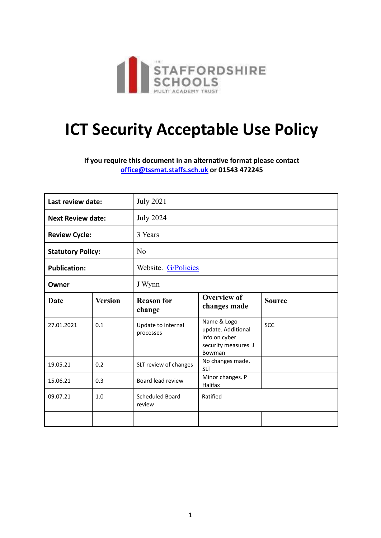

# **ICT Security Acceptable Use Policy**

**If you require this document in an alternative format please contact [office@tssmat.staffs.sch.uk](mailto:office@tssmat.staffs.sch.uk) or 01543 472245**

| Last review date:        |                | <b>July 2021</b>                 |                                                                                     |               |  |
|--------------------------|----------------|----------------------------------|-------------------------------------------------------------------------------------|---------------|--|
| <b>Next Review date:</b> |                | <b>July 2024</b>                 |                                                                                     |               |  |
| <b>Review Cycle:</b>     |                | 3 Years                          |                                                                                     |               |  |
| <b>Statutory Policy:</b> |                | N <sub>0</sub>                   |                                                                                     |               |  |
| <b>Publication:</b>      |                | Website. G/Policies              |                                                                                     |               |  |
| Owner                    |                | J Wynn                           |                                                                                     |               |  |
| Date                     | <b>Version</b> | <b>Reason for</b><br>change      | <b>Overview of</b><br>changes made                                                  | <b>Source</b> |  |
| 27.01.2021               | 0.1            | Update to internal<br>processes  | Name & Logo<br>update. Additional<br>info on cyber<br>security measures J<br>Bowman | <b>SCC</b>    |  |
| 19.05.21                 | 0.2            | SLT review of changes            | No changes made.<br><b>SLT</b>                                                      |               |  |
| 15.06.21                 | 0.3            | Board lead review                | Minor changes. P<br>Halifax                                                         |               |  |
| 09.07.21                 | 1.0            | <b>Scheduled Board</b><br>review | Ratified                                                                            |               |  |
|                          |                |                                  |                                                                                     |               |  |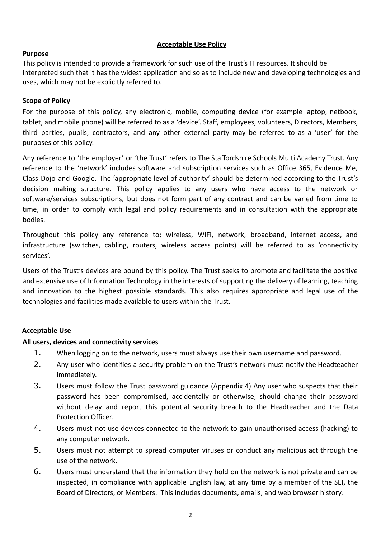#### **Acceptable Use Policy**

#### **Purpose**

This policy is intended to provide a framework for such use of the Trust's IT resources. It should be interpreted such that it has the widest application and so as to include new and developing technologies and uses, which may not be explicitly referred to.

#### **Scope of Policy**

For the purpose of this policy, any electronic, mobile, computing device (for example laptop, netbook, tablet, and mobile phone) will be referred to as a 'device'. Staff, employees, volunteers, Directors, Members, third parties, pupils, contractors, and any other external party may be referred to as a 'user' for the purposes of this policy.

Any reference to 'the employer' or 'the Trust' refers to The Staffordshire Schools Multi Academy Trust. Any reference to the 'network' includes software and subscription services such as Office 365, Evidence Me, Class Dojo and Google. The 'appropriate level of authority' should be determined according to the Trust's decision making structure. This policy applies to any users who have access to the network or software/services subscriptions, but does not form part of any contract and can be varied from time to time, in order to comply with legal and policy requirements and in consultation with the appropriate bodies.

Throughout this policy any reference to; wireless, WiFi, network, broadband, internet access, and infrastructure (switches, cabling, routers, wireless access points) will be referred to as 'connectivity services'.

Users of the Trust's devices are bound by this policy. The Trust seeks to promote and facilitate the positive and extensive use of Information Technology in the interests of supporting the delivery of learning, teaching and innovation to the highest possible standards. This also requires appropriate and legal use of the technologies and facilities made available to users within the Trust.

#### **Acceptable Use**

#### **All users, devices and connectivity services**

- 1. When logging on to the network, users must always use their own username and password.
- 2. Any user who identifies a security problem on the Trust's network must notify the Headteacher immediately.
- 3. Users must follow the Trust password guidance (Appendix 4) Any user who suspects that their password has been compromised, accidentally or otherwise, should change their password without delay and report this potential security breach to the Headteacher and the Data Protection Officer.
- 4. Users must not use devices connected to the network to gain unauthorised access (hacking) to any computer network.
- 5. Users must not attempt to spread computer viruses or conduct any malicious act through the use of the network.
- 6. Users must understand that the information they hold on the network is not private and can be inspected, in compliance with applicable English law, at any time by a member of the SLT, the Board of Directors, or Members. This includes documents, emails, and web browser history.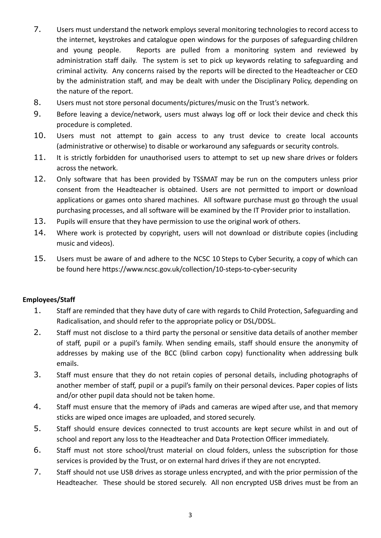- 7. Users must understand the network employs several monitoring technologies to record access to the internet, keystrokes and catalogue open windows for the purposes of safeguarding children and young people. Reports are pulled from a monitoring system and reviewed by administration staff daily. The system is set to pick up keywords relating to safeguarding and criminal activity. Any concerns raised by the reports will be directed to the Headteacher or CEO by the administration staff, and may be dealt with under the Disciplinary Policy, depending on the nature of the report.
- 8. Users must not store personal documents/pictures/music on the Trust's network.
- 9. Before leaving a device/network, users must always log off or lock their device and check this procedure is completed.
- 10. Users must not attempt to gain access to any trust device to create local accounts (administrative or otherwise) to disable or workaround any safeguards or security controls.
- 11. It is strictly forbidden for unauthorised users to attempt to set up new share drives or folders across the network.
- 12. Only software that has been provided by TSSMAT may be run on the computers unless prior consent from the Headteacher is obtained. Users are not permitted to import or download applications or games onto shared machines. All software purchase must go through the usual purchasing processes, and all software will be examined by the IT Provider prior to installation.
- 13. Pupils will ensure that they have permission to use the original work of others.
- 14. Where work is protected by copyright, users will not download or distribute copies (including music and videos).
- 15. Users must be aware of and adhere to the NCSC 10 Steps to Cyber Security, a copy of which can be found here <https://www.ncsc.gov.uk/collection/10-steps-to-cyber-security>

# **Employees/Staff**

- 1. Staff are reminded that they have duty of care with regards to Child Protection, Safeguarding and Radicalisation, and should refer to the appropriate policy or DSL/DDSL.
- 2. Staff must not disclose to a third party the personal or sensitive data details of another member of staff, pupil or a pupil's family. When sending emails, staff should ensure the anonymity of addresses by making use of the BCC (blind carbon copy) functionality when addressing bulk emails.
- 3. Staff must ensure that they do not retain copies of personal details, including photographs of another member of staff, pupil or a pupil's family on their personal devices. Paper copies of lists and/or other pupil data should not be taken home.
- 4. Staff must ensure that the memory of iPads and cameras are wiped after use, and that memory sticks are wiped once images are uploaded, and stored securely.
- 5. Staff should ensure devices connected to trust accounts are kept secure whilst in and out of school and report any loss to the Headteacher and Data Protection Officer immediately.
- 6. Staff must not store school/trust material on cloud folders, unless the subscription for those services is provided by the Trust, or on external hard drives if they are not encrypted.
- 7. Staff should not use USB drives as storage unless encrypted, and with the prior permission of the Headteacher. These should be stored securely. All non encrypted USB drives must be from an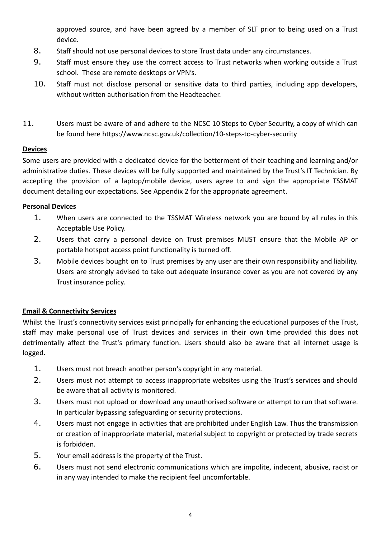approved source, and have been agreed by a member of SLT prior to being used on a Trust device.

- 8. Staff should not use personal devices to store Trust data under any circumstances.
- 9. Staff must ensure they use the correct access to Trust networks when working outside a Trust school. These are remote desktops or VPN's.
- 10. Staff must not disclose personal or sensitive data to third parties, including app developers, without written authorisation from the Headteacher.
- 11. Users must be aware of and adhere to the NCSC 10 Steps to Cyber Security, a copy of which can be found here <https://www.ncsc.gov.uk/collection/10-steps-to-cyber-security>

#### **Devices**

Some users are provided with a dedicated device for the betterment of their teaching and learning and/or administrative duties. These devices will be fully supported and maintained by the Trust's IT Technician. By accepting the provision of a laptop/mobile device, users agree to and sign the appropriate TSSMAT document detailing our expectations. See Appendix 2 for the appropriate agreement.

#### **Personal Devices**

- 1. When users are connected to the TSSMAT Wireless network you are bound by all rules in this Acceptable Use Policy.
- 2. Users that carry a personal device on Trust premises MUST ensure that the Mobile AP or portable hotspot access point functionality is turned off.
- 3. Mobile devices bought on to Trust premises by any user are their own responsibility and liability. Users are strongly advised to take out adequate insurance cover as you are not covered by any Trust insurance policy.

#### **Email & Connectivity Services**

Whilst the Trust's connectivity services exist principally for enhancing the educational purposes of the Trust, staff may make personal use of Trust devices and services in their own time provided this does not detrimentally affect the Trust's primary function. Users should also be aware that all internet usage is logged.

- 1. Users must not breach another person's copyright in any material.
- 2. Users must not attempt to access inappropriate websites using the Trust's services and should be aware that all activity is monitored.
- 3. Users must not upload or download any unauthorised software or attempt to run that software. In particular bypassing safeguarding or security protections.
- 4. Users must not engage in activities that are prohibited under English Law. Thus the transmission or creation of inappropriate material, material subject to copyright or protected by trade secrets is forbidden.
- 5. Your email address is the property of the Trust.
- 6. Users must not send electronic communications which are impolite, indecent, abusive, racist or in any way intended to make the recipient feel uncomfortable.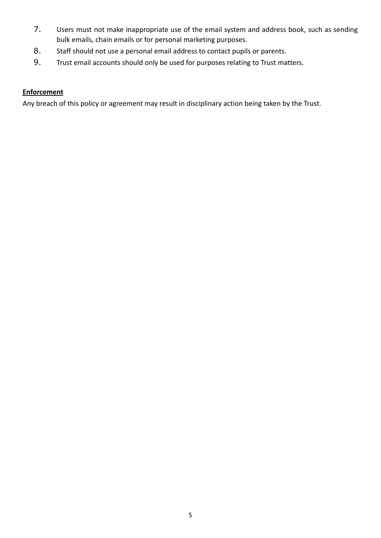- 7. Users must not make inappropriate use of the email system and address book, such as sending bulk emails, chain emails or for personal marketing purposes.
- 8. Staff should not use a personal email address to contact pupils or parents.
- 9. Trust email accounts should only be used for purposes relating to Trust matters.

# **Enforcement**

Any breach of this policy or agreement may result in disciplinary action being taken by the Trust.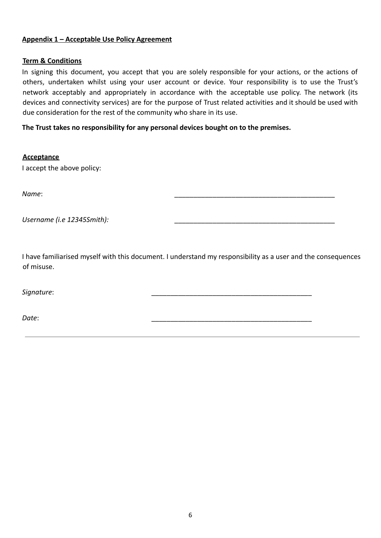#### **Appendix 1 – Acceptable Use Policy Agreement**

#### **Term & Conditions**

In signing this document, you accept that you are solely responsible for your actions, or the actions of others, undertaken whilst using your user account or device. Your responsibility is to use the Trust's network acceptably and appropriately in accordance with the acceptable use policy. The network (its devices and connectivity services) are for the purpose of Trust related activities and it should be used with due consideration for the rest of the community who share in its use.

#### **The Trust takes no responsibility for any personal devices bought on to the premises.**

**Acceptance**

I accept the above policy:

*Name*: \_\_\_\_\_\_\_\_\_\_\_\_\_\_\_\_\_\_\_\_\_\_\_\_\_\_\_\_\_\_\_\_\_\_\_\_\_\_\_\_\_\_

*Username (i.e 12345Smith):* \_\_\_\_\_\_\_\_\_\_\_\_\_\_\_\_\_\_\_\_\_\_\_\_\_\_\_\_\_\_\_\_\_\_\_\_\_\_\_\_\_\_

I have familiarised myself with this document. I understand my responsibility as a user and the consequences of misuse.

*Signature*: \_\_\_\_\_\_\_\_\_\_\_\_\_\_\_\_\_\_\_\_\_\_\_\_\_\_\_\_\_\_\_\_\_\_\_\_\_\_\_\_\_\_

*Date*: \_\_\_\_\_\_\_\_\_\_\_\_\_\_\_\_\_\_\_\_\_\_\_\_\_\_\_\_\_\_\_\_\_\_\_\_\_\_\_\_\_\_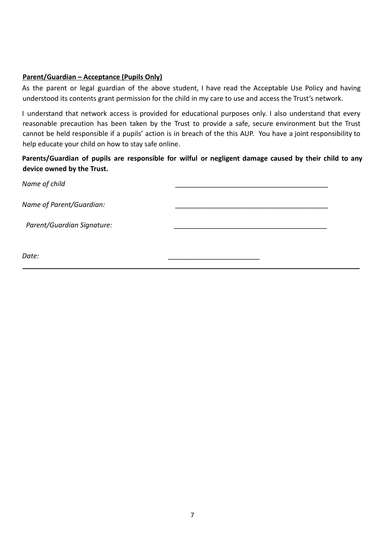#### **Parent/Guardian – Acceptance (Pupils Only)**

As the parent or legal guardian of the above student, I have read the Acceptable Use Policy and having understood its contents grant permission for the child in my care to use and access the Trust's network.

I understand that network access is provided for educational purposes only. I also understand that every reasonable precaution has been taken by the Trust to provide a safe, secure environment but the Trust cannot be held responsible if a pupils' action is in breach of the this AUP. You have a joint responsibility to help educate your child on how to stay safe online.

# **Parents/Guardian of pupils are responsible for wilful or negligent damage caused by their child to any device owned by the Trust.**

| Name of child              |  |
|----------------------------|--|
| Name of Parent/Guardian:   |  |
| Parent/Guardian Signature: |  |
| Date:                      |  |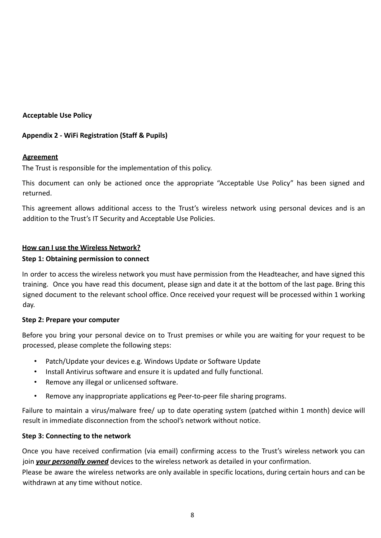#### **Acceptable Use Policy**

#### **Appendix 2 - WiFi Registration (Staff & Pupils)**

#### **Agreement**

The Trust is responsible for the implementation of this policy.

This document can only be actioned once the appropriate "Acceptable Use Policy" has been signed and returned.

This agreement allows additional access to the Trust's wireless network using personal devices and is an addition to the Trust's IT Security and Acceptable Use Policies.

#### **How can I use the Wireless Network?**

#### **Step 1: Obtaining permission to connect**

In order to access the wireless network you must have permission from the Headteacher, and have signed this training. Once you have read this document, please sign and date it at the bottom of the last page. Bring this signed document to the relevant school office. Once received your request will be processed within 1 working day.

#### **Step 2: Prepare your computer**

Before you bring your personal device on to Trust premises or while you are waiting for your request to be processed, please complete the following steps:

- Patch/Update your devices e.g. Windows Update or Software Update
- Install Antivirus software and ensure it is updated and fully functional.
- Remove any illegal or unlicensed software.
- Remove any inappropriate applications eg Peer-to-peer file sharing programs.

Failure to maintain a virus/malware free/ up to date operating system (patched within 1 month) device will result in immediate disconnection from the school's network without notice.

#### **Step 3: Connecting to the network**

Once you have received confirmation (via email) confirming access to the Trust's wireless network you can join *your personally owned* devices to the wireless network as detailed in your confirmation.

Please be aware the wireless networks are only available in specific locations, during certain hours and can be withdrawn at any time without notice.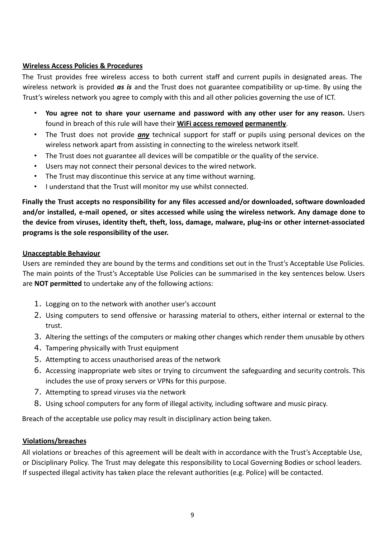#### **Wireless Access Policies & Procedures**

The Trust provides free wireless access to both current staff and current pupils in designated areas. The wireless network is provided *as is* and the Trust does not guarantee compatibility or up-time. By using the Trust's wireless network you agree to comply with this and all other policies governing the use of ICT.

- **You agree not to share your username and password with any other user for any reason.** Users found in breach of this rule will have their **WiFi access removed permanently**.
- The Trust does not provide *any* technical support for staff or pupils using personal devices on the wireless network apart from assisting in connecting to the wireless network itself.
- The Trust does not guarantee all devices will be compatible or the quality of the service.
- Users may not connect their personal devices to the wired network.
- The Trust may discontinue this service at any time without warning.
- I understand that the Trust will monitor my use whilst connected.

**Finally the Trust accepts no responsibility for any files accessed and/or downloaded, software downloaded and/or installed, e-mail opened, or sites accessed while using the wireless network. Any damage done to the device from viruses, identity theft, theft, loss, damage, malware, plug-ins or other internet-associated programs is the sole responsibility of the user.**

### **Unacceptable Behaviour**

Users are reminded they are bound by the terms and conditions set out in the Trust's Acceptable Use Policies. The main points of the Trust's Acceptable Use Policies can be summarised in the key sentences below. Users are **NOT permitted** to undertake any of the following actions:

- 1. Logging on to the network with another user's account
- 2. Using computers to send offensive or harassing material to others, either internal or external to the trust.
- 3. Altering the settings of the computers or making other changes which render them unusable by others
- 4. Tampering physically with Trust equipment
- 5. Attempting to access unauthorised areas of the network
- 6. Accessing inappropriate web sites or trying to circumvent the safeguarding and security controls. This includes the use of proxy servers or VPNs for this purpose.
- 7. Attempting to spread viruses via the network
- 8. Using school computers for any form of illegal activity, including software and music piracy.

Breach of the acceptable use policy may result in disciplinary action being taken.

# **Violations/breaches**

All violations or breaches of this agreement will be dealt with in accordance with the Trust's Acceptable Use, or Disciplinary Policy. The Trust may delegate this responsibility to Local Governing Bodies or school leaders. If suspected illegal activity has taken place the relevant authorities (e.g. Police) will be contacted.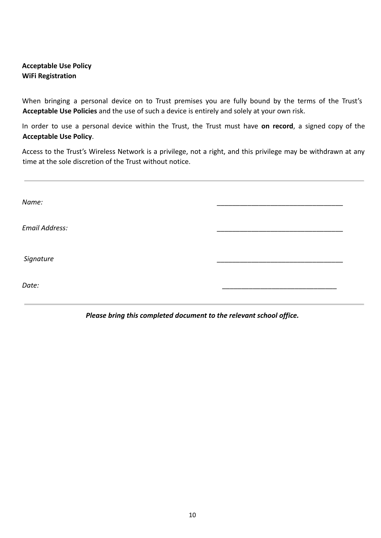### **Acceptable Use Policy WiFi Registration**

When bringing a personal device on to Trust premises you are fully bound by the terms of the Trust's **Acceptable Use Policies** and the use of such a device is entirely and solely at your own risk.

In order to use a personal device within the Trust, the Trust must have **on record**, a signed copy of the **Acceptable Use Policy**.

Access to the Trust's Wireless Network is a privilege, not a right, and this privilege may be withdrawn at any time at the sole discretion of the Trust without notice.

| Name:          |  |
|----------------|--|
| Email Address: |  |
| Signature      |  |
| Date:          |  |

*Please bring this completed document to the relevant school office.*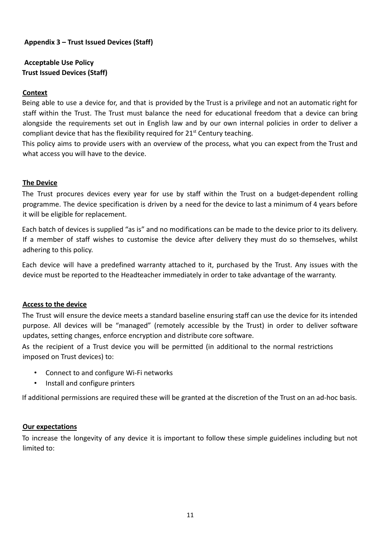#### **Appendix 3 – Trust Issued Devices (Staff)**

#### **Acceptable Use Policy Trust Issued Devices (Staff)**

#### **Context**

Being able to use a device for, and that is provided by the Trust is a privilege and not an automatic right for staff within the Trust. The Trust must balance the need for educational freedom that a device can bring alongside the requirements set out in English law and by our own internal policies in order to deliver a compliant device that has the flexibility required for  $21^{st}$  Century teaching.

This policy aims to provide users with an overview of the process, what you can expect from the Trust and what access you will have to the device.

#### **The Device**

The Trust procures devices every year for use by staff within the Trust on a budget-dependent rolling programme. The device specification is driven by a need for the device to last a minimum of 4 years before it will be eligible for replacement.

Each batch of devices is supplied "as is" and no modifications can be made to the device prior to its delivery. If a member of staff wishes to customise the device after delivery they must do so themselves, whilst adhering to this policy.

Each device will have a predefined warranty attached to it, purchased by the Trust. Any issues with the device must be reported to the Headteacher immediately in order to take advantage of the warranty.

#### **Access to the device**

The Trust will ensure the device meets a standard baseline ensuring staff can use the device for its intended purpose. All devices will be "managed" (remotely accessible by the Trust) in order to deliver software updates, setting changes, enforce encryption and distribute core software.

As the recipient of a Trust device you will be permitted (in additional to the normal restrictions imposed on Trust devices) to:

- Connect to and configure Wi-Fi networks
- Install and configure printers

If additional permissions are required these will be granted at the discretion of the Trust on an ad-hoc basis.

#### **Our expectations**

To increase the longevity of any device it is important to follow these simple guidelines including but not limited to: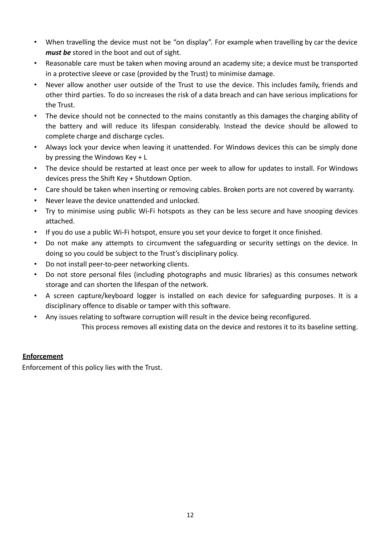- When travelling the device must not be "on display". For example when travelling by car the device *must be* stored in the boot and out of sight.
- Reasonable care must be taken when moving around an academy site; a device must be transported in a protective sleeve or case (provided by the Trust) to minimise damage.
- Never allow another user outside of the Trust to use the device. This includes family, friends and other third parties. To do so increases the risk of a data breach and can have serious implications for the Trust.
- The device should not be connected to the mains constantly as this damages the charging ability of the battery and will reduce its lifespan considerably. Instead the device should be allowed to complete charge and discharge cycles.
- Always lock your device when leaving it unattended. For Windows devices this can be simply done by pressing the Windows Key + L
- The device should be restarted at least once per week to allow for updates to install. For Windows devices press the Shift Key + Shutdown Option.
- Care should be taken when inserting or removing cables. Broken ports are not covered by warranty.
- Never leave the device unattended and unlocked.
- Try to minimise using public Wi-Fi hotspots as they can be less secure and have snooping devices attached.
- If you do use a public Wi-Fi hotspot, ensure you set your device to forget it once finished.
- Do not make any attempts to circumvent the safeguarding or security settings on the device. In doing so you could be subject to the Trust's disciplinary policy.
- Do not install peer-to-peer networking clients.
- Do not store personal files (including photographs and music libraries) as this consumes network storage and can shorten the lifespan of the network.
- A screen capture/keyboard logger is installed on each device for safeguarding purposes. It is a disciplinary offence to disable or tamper with this software.
- Any issues relating to software corruption will result in the device being reconfigured. This process removes all existing data on the device and restores it to its baseline setting.

# **Enforcement**

Enforcement of this policy lies with the Trust.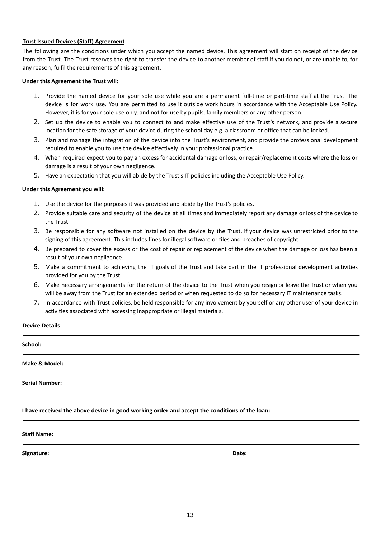#### **Trust Issued Devices (Staff) Agreement**

The following are the conditions under which you accept the named device. This agreement will start on receipt of the device from the Trust. The Trust reserves the right to transfer the device to another member of staff if you do not, or are unable to, for any reason, fulfil the requirements of this agreement.

#### **Under this Agreement the Trust will:**

- 1. Provide the named device for your sole use while you are a permanent full-time or part-time staff at the Trust. The device is for work use. You are permitted to use it outside work hours in accordance with the Acceptable Use Policy. However, it is for your sole use only, and not for use by pupils, family members or any other person.
- 2. Set up the device to enable you to connect to and make effective use of the Trust's network, and provide a secure location for the safe storage of your device during the school day e.g. a classroom or office that can be locked.
- 3. Plan and manage the integration of the device into the Trust's environment, and provide the professional development required to enable you to use the device effectively in your professional practice.
- 4. When required expect you to pay an excess for accidental damage or loss, or repair/replacement costs where the loss or damage is a result of your own negligence.
- 5. Have an expectation that you will abide by the Trust's IT policies including the Acceptable Use Policy.

#### **Under this Agreement you will:**

- 1. Use the device for the purposes it was provided and abide by the Trust's policies.
- 2. Provide suitable care and security of the device at all times and immediately report any damage or loss of the device to the Trust.
- 3. Be responsible for any software not installed on the device by the Trust, if your device was unrestricted prior to the signing of this agreement. This includes fines for illegal software or files and breaches of copyright.
- 4. Be prepared to cover the excess or the cost of repair or replacement of the device when the damage or loss has been a result of your own negligence.
- 5. Make a commitment to achieving the IT goals of the Trust and take part in the IT professional development activities provided for you by the Trust.
- 6. Make necessary arrangements for the return of the device to the Trust when you resign or leave the Trust or when you will be away from the Trust for an extended period or when requested to do so for necessary IT maintenance tasks.
- 7. In accordance with Trust policies, be held responsible for any involvement by yourself or any other user of your device in activities associated with accessing inappropriate or illegal materials.

#### **Device Details**

# **School: Make & Model:**

**Serial Number:**

#### **I have received the above device in good working order and accept the conditions of the loan:**

#### **Staff Name:**

**Signature: Date:**